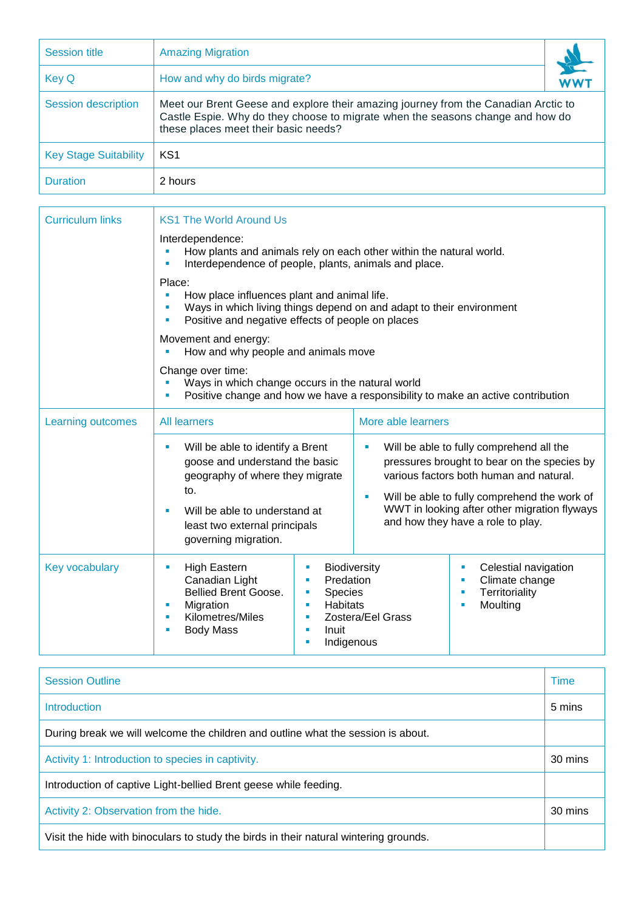| <b>Session title</b>         | <b>Amazing Migration</b>                                                                                                                                                                                     |  |  |
|------------------------------|--------------------------------------------------------------------------------------------------------------------------------------------------------------------------------------------------------------|--|--|
| Key Q                        | How and why do birds migrate?                                                                                                                                                                                |  |  |
| Session description          | Meet our Brent Geese and explore their amazing journey from the Canadian Arctic to<br>Castle Espie. Why do they choose to migrate when the seasons change and how do<br>these places meet their basic needs? |  |  |
| <b>Key Stage Suitability</b> | KS1                                                                                                                                                                                                          |  |  |
| <b>Duration</b>              | 2 hours                                                                                                                                                                                                      |  |  |

| <b>Curriculum links</b> | <b>KS1 The World Around Us</b>                                                                                                                                                                                                                                                                                                                                                                                            |                                                                                                                                                                                                                                                                                                |  |  |  |
|-------------------------|---------------------------------------------------------------------------------------------------------------------------------------------------------------------------------------------------------------------------------------------------------------------------------------------------------------------------------------------------------------------------------------------------------------------------|------------------------------------------------------------------------------------------------------------------------------------------------------------------------------------------------------------------------------------------------------------------------------------------------|--|--|--|
|                         | Interdependence:<br>How plants and animals rely on each other within the natural world.<br>Interdependence of people, plants, animals and place.                                                                                                                                                                                                                                                                          |                                                                                                                                                                                                                                                                                                |  |  |  |
|                         | Place:<br>How place influences plant and animal life.<br>Ľ,<br>Ways in which living things depend on and adapt to their environment<br>Positive and negative effects of people on places<br>Movement and energy:<br>How and why people and animals move<br>a.<br>Change over time:<br>Ways in which change occurs in the natural world<br>Positive change and how we have a responsibility to make an active contribution |                                                                                                                                                                                                                                                                                                |  |  |  |
|                         |                                                                                                                                                                                                                                                                                                                                                                                                                           |                                                                                                                                                                                                                                                                                                |  |  |  |
|                         |                                                                                                                                                                                                                                                                                                                                                                                                                           |                                                                                                                                                                                                                                                                                                |  |  |  |
| Learning outcomes       | <b>All learners</b>                                                                                                                                                                                                                                                                                                                                                                                                       | More able learners                                                                                                                                                                                                                                                                             |  |  |  |
|                         | Will be able to identify a Brent<br>ш<br>goose and understand the basic<br>geography of where they migrate<br>to.<br>Will be able to understand at<br>п<br>least two external principals<br>governing migration.                                                                                                                                                                                                          | Will be able to fully comprehend all the<br>$\blacksquare$<br>pressures brought to bear on the species by<br>various factors both human and natural.<br>Will be able to fully comprehend the work of<br>п<br>WWT in looking after other migration flyways<br>and how they have a role to play. |  |  |  |
| Key vocabulary          | <b>High Eastern</b><br>×<br>×<br>Canadian Light<br>$\blacksquare$<br>Bellied Brent Goose.<br>×<br>Migration<br>٠<br>×<br>Kilometres/Miles<br>٠<br>ш<br><b>Body Mass</b><br>Inuit<br>٠<br>×<br>٠                                                                                                                                                                                                                           | Biodiversity<br>Celestial navigation<br>×<br>Predation<br>Climate change<br>ш<br>Territoriality<br>Species<br>٠<br><b>Habitats</b><br>Moulting<br>ш<br>Zostera/Eel Grass<br>Indigenous                                                                                                         |  |  |  |

| <b>Session Outline</b>                                                                | Time    |  |
|---------------------------------------------------------------------------------------|---------|--|
| Introduction                                                                          | 5 mins  |  |
| During break we will welcome the children and outline what the session is about.      |         |  |
| Activity 1: Introduction to species in captivity.                                     | 30 mins |  |
| Introduction of captive Light-bellied Brent geese while feeding.                      |         |  |
| Activity 2: Observation from the hide.                                                | 30 mins |  |
| Visit the hide with binoculars to study the birds in their natural wintering grounds. |         |  |